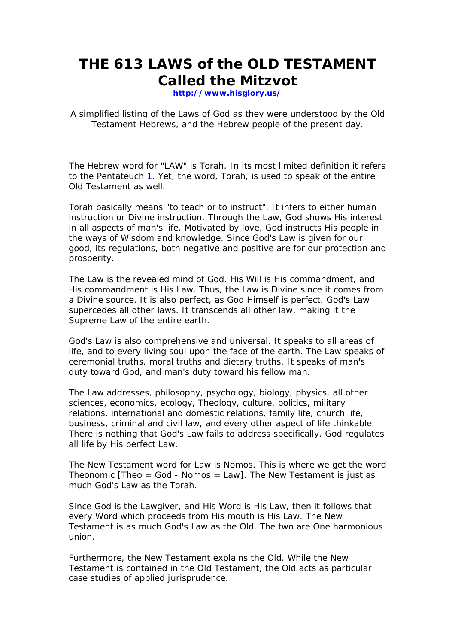# **THE 613 LAWS of the OLD TESTAMENT Called the Mitzvot**

**http://www.hisglory.us/**

A simplified listing of the Laws of God as they were understood by the Old Testament Hebrews, and the Hebrew people of the present day.

The Hebrew word for "LAW" is *Torah.* In its most limited definition it refers to the Pentateuch  $1$ . Yet, the word, Torah, is used to speak of the entire Old Testament as well.

*Torah* basically means "to teach or to instruct". It infers to either human instruction or Divine instruction. Through the Law, God shows His interest in all aspects of man's life. Motivated by love, God instructs His people in the ways of Wisdom and knowledge. Since God's Law is given for our good, its regulations, both negative and positive are for our protection and prosperity.

The Law is the revealed mind of God. His Will is His commandment, and His commandment is His Law. Thus, the Law is Divine since it comes from a Divine source. It is also perfect, as God Himself is perfect. God's Law supercedes all other laws. It transcends all other law, making it the Supreme Law of the entire earth.

God's Law is also comprehensive and universal. It speaks to all areas of life, and to every living soul upon the face of the earth. The Law speaks of ceremonial truths, moral truths and dietary truths. It speaks of man's duty toward God, and man's duty toward his fellow man.

The Law addresses, philosophy, psychology, biology, physics, all other sciences, economics, ecology, Theology, culture, politics, military relations, international and domestic relations, family life, church life, business, criminal and civil law, and every other aspect of life thinkable. There is nothing that God's Law fails to address specifically. God regulates all life by His perfect Law.

The New Testament word for Law is *Nomos*. This is where we get the word Theonomic  $[Theorem 1]$  Theo = God - Nomos = Law]. The New Testament is just as much God's Law as the Torah.

Since God is the Lawgiver, and His Word is His Law, then it follows that every Word which proceeds from His mouth is His Law. The New Testament is as much God's Law as the Old. The two are One harmonious union.

Furthermore, the New Testament explains the Old. While the New Testament is contained in the Old Testament, the Old acts as particular case studies of applied jurisprudence.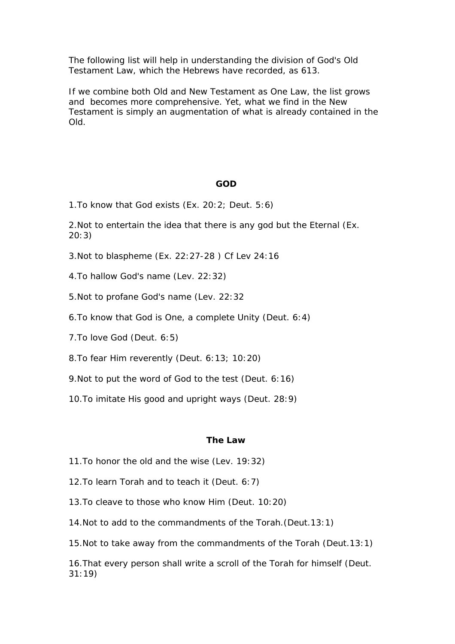The following list will help in understanding the division of God's Old Testament Law, which the Hebrews have recorded, as 613.

If we combine both Old and New Testament as One Law, the list grows and becomes more comprehensive. Yet, what we find in the New Testament is simply an augmentation of what is already contained in the Old.

#### **GOD**

1.To know that God exists (Ex. 20:2; Deut. 5:6)

2.Not to entertain the idea that there is any god but the Eternal (Ex. 20:3)

- 3.Not to blaspheme (Ex. 22:27-28 ) Cf Lev 24:16
- 4.To hallow God's name (Lev. 22:32)
- 5.Not to profane God's name (Lev. 22:32
- 6.To know that God is One, a complete Unity (Deut. 6:4)
- 7.To love God (Deut. 6:5)
- 8.To fear Him reverently (Deut. 6:13; 10:20)
- 9.Not to put the word of God to the test (Deut. 6:16)
- 10.To imitate His good and upright ways (Deut. 28:9)

#### **The Law**

- 11.To honor the old and the wise (Lev. 19:32)
- 12.To learn Torah and to teach it (Deut. 6:7)
- 13.To cleave to those who know Him (Deut. 10:20)
- 14.Not to add to the commandments of the Torah.(Deut.13:1)
- 15.Not to take away from the commandments of the Torah (Deut.13:1)

16.That every person shall write a scroll of the Torah for himself (Deut. 31:19)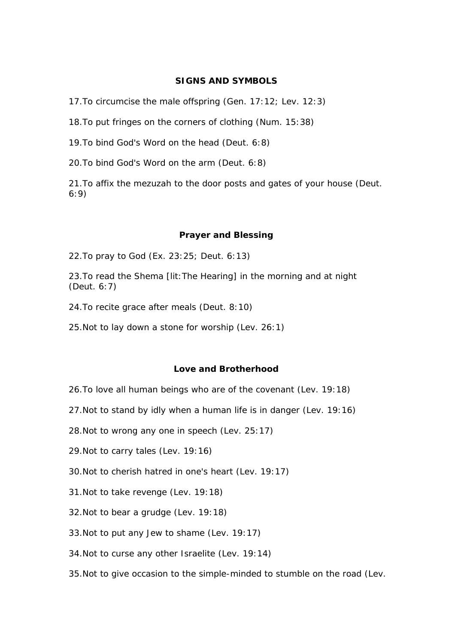## **SIGNS AND SYMBOLS**

17.To circumcise the male offspring (Gen. 17:12; Lev. 12:3)

18.To put fringes on the corners of clothing (Num. 15:38)

19.To bind God's Word on the head (Deut. 6:8)

20.To bind God's Word on the arm (Deut. 6:8)

21.To affix the mezuzah to the door posts and gates of your house (Deut. 6:9)

#### **Prayer and Blessing**

22.To pray to God (Ex. 23:25; Deut. 6:13)

23.To read the *Shema* [lit:The Hearing] in the morning and at night (Deut. 6:7)

24.To recite grace after meals (Deut. 8:10)

25.Not to lay down a stone for worship (Lev. 26:1)

## **Love and Brotherhood**

- 26.To love all human beings who are of the covenant (Lev. 19:18)
- 27.Not to stand by idly when a human life is in danger (Lev. 19:16)
- 28.Not to wrong any one in speech (Lev. 25:17)
- 29.Not to carry tales (Lev. 19:16)
- 30.Not to cherish hatred in one's heart (Lev. 19:17)
- 31.Not to take revenge (Lev. 19:18)
- 32.Not to bear a grudge (Lev. 19:18)
- 33.Not to put any Jew to shame (Lev. 19:17)
- 34.Not to curse any other Israelite (Lev. 19:14)
- 35.Not to give occasion to the simple-minded to stumble on the road (Lev.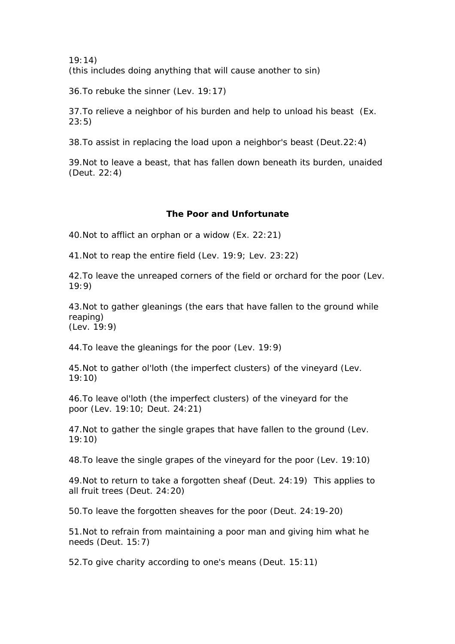19:14) (this includes doing anything that will cause another to sin)

36.To rebuke the sinner (Lev. 19:17)

37.To relieve a neighbor of his burden and help to unload his beast (Ex. 23:5)

38.To assist in replacing the load upon a neighbor's beast (Deut.22:4)

39.Not to leave a beast, that has fallen down beneath its burden, unaided (Deut. 22:4)

## **The Poor and Unfortunate**

40.Not to afflict an orphan or a widow (Ex. 22:21)

41.Not to reap the entire field (Lev. 19:9; Lev. 23:22)

42.To leave the unreaped corners of the field or orchard for the poor (Lev. 19:9)

43.Not to gather gleanings (the ears that have fallen to the ground while reaping) (Lev. 19:9)

44.To leave the gleanings for the poor (Lev. 19:9)

45.Not to gather *ol'loth* (the imperfect clusters) of the vineyard (Lev. 19:10)

46.To leave ol'loth (the imperfect clusters) of the vineyard for the poor (Lev. 19:10; Deut. 24:21)

47.Not to gather the single grapes that have fallen to the ground (Lev. 19:10)

48.To leave the single grapes of the vineyard for the poor (Lev. 19:10)

49.Not to return to take a forgotten sheaf (Deut. 24:19) This applies to all fruit trees (Deut. 24:20)

50.To leave the forgotten sheaves for the poor (Deut. 24:19-20)

51.Not to refrain from maintaining a poor man and giving him what he needs (Deut. 15:7)

52.To give charity according to one's means (Deut. 15:11)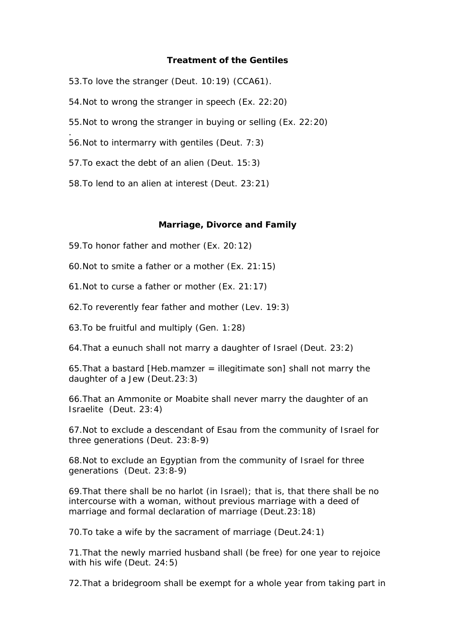### **Treatment of the Gentiles**

53.To love the stranger (Deut. 10:19) (CCA61).

- 54.Not to wrong the stranger in speech (Ex. 22:20)
- 55.Not to wrong the stranger in buying or selling (Ex. 22:20)
- 56.Not to intermarry with gentiles (Deut. 7:3)

.

- 57.To exact the debt of an alien (Deut. 15:3)
- 58.To lend to an alien at interest (Deut. 23:21)

#### **Marriage, Divorce and Family**

- 59.To honor father and mother (Ex. 20:12)
- 60.Not to smite a father or a mother (Ex. 21:15)
- 61.Not to curse a father or mother (Ex. 21:17)
- 62.To reverently fear father and mother (Lev. 19:3)
- 63.To be fruitful and multiply (Gen. 1:28)
- 64.That a eunuch shall not marry a daughter of Israel (Deut. 23:2)

65.That a bastard [Heb.mamzer = illegitimate son] shall not marry the daughter of a Jew (Deut.23:3)

66.That an Ammonite or Moabite shall never marry the daughter of an Israelite (Deut. 23:4)

67.Not to exclude a descendant of Esau from the community of Israel for three generations (Deut. 23:8-9)

68.Not to exclude an Egyptian from the community of Israel for three generations (Deut. 23:8-9)

69.That there shall be no harlot (in Israel); that is, that there shall be no intercourse with a woman, without previous marriage with a deed of marriage and formal declaration of marriage (Deut.23:18)

70.To take a wife by the sacrament of marriage (Deut.24:1)

71.That the newly married husband shall (be free) for one year to rejoice with his wife (Deut. 24:5)

72.That a bridegroom shall be exempt for a whole year from taking part in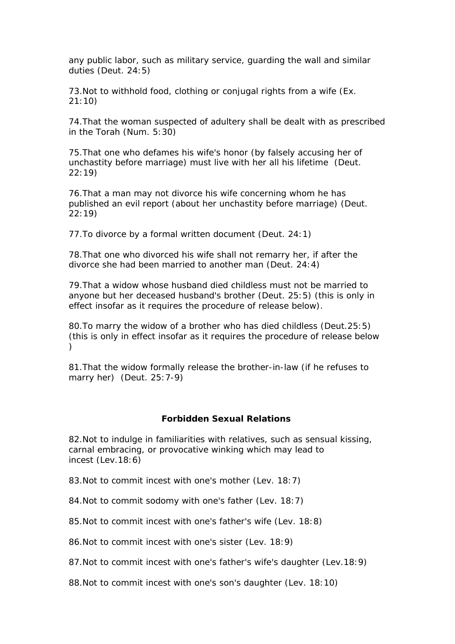any public labor, such as military service, guarding the wall and similar duties (Deut. 24:5)

73.Not to withhold food, clothing or conjugal rights from a wife (Ex. 21:10)

74.That the woman suspected of adultery shall be dealt with as prescribed in the Torah (Num. 5:30)

75.That one who defames his wife's honor (by falsely accusing her of unchastity before marriage) must live with her all his lifetime (Deut. 22:19)

76.That a man may not divorce his wife concerning whom he has published an evil report (about her unchastity before marriage) (Deut. 22:19)

77.To divorce by a formal written document (Deut. 24:1)

78.That one who divorced his wife shall not remarry her, if after the divorce she had been married to another man (Deut. 24:4)

79.That a widow whose husband died childless must not be married to anyone but her deceased husband's brother (Deut. 25:5) (this is only in effect insofar as it requires the procedure of release below).

80.To marry the widow of a brother who has died childless (Deut.25:5) (this is only in effect insofar as it requires the procedure of release below )

81.That the widow formally release the brother-in-law (if he refuses to marry her) (Deut. 25:7-9)

# **Forbidden Sexual Relations**

82.Not to indulge in familiarities with relatives, such as sensual kissing, carnal embracing, or provocative winking which may lead to incest (Lev.18:6)

83.Not to commit incest with one's mother (Lev. 18:7)

84.Not to commit sodomy with one's father (Lev. 18:7)

85.Not to commit incest with one's father's wife (Lev. 18:8)

86.Not to commit incest with one's sister (Lev. 18:9)

87.Not to commit incest with one's father's wife's daughter (Lev.18:9)

88. Not to commit incest with one's son's daughter (Lev. 18:10)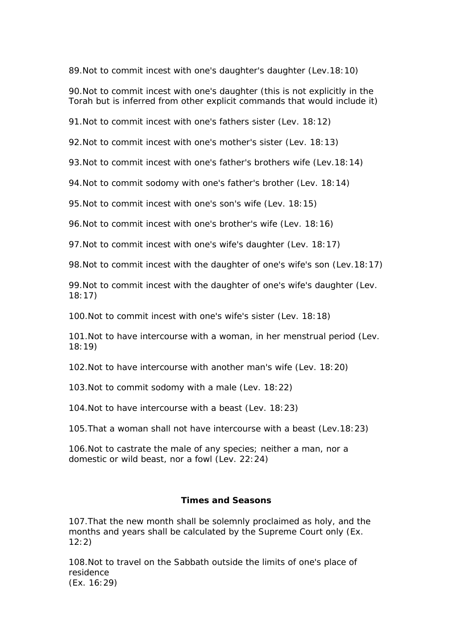89.Not to commit incest with one's daughter's daughter (Lev.18:10)

90.Not to commit incest with one's daughter (this is not explicitly in the Torah but is inferred from other explicit commands that would include it)

91.Not to commit incest with one's fathers sister (Lev. 18:12)

92.Not to commit incest with one's mother's sister (Lev. 18:13)

93.Not to commit incest with one's father's brothers wife (Lev.18:14)

94.Not to commit sodomy with one's father's brother (Lev. 18:14)

95.Not to commit incest with one's son's wife (Lev. 18:15)

96.Not to commit incest with one's brother's wife (Lev. 18:16)

97.Not to commit incest with one's wife's daughter (Lev. 18:17)

98.Not to commit incest with the daughter of one's wife's son (Lev.18:17)

99.Not to commit incest with the daughter of one's wife's daughter (Lev. 18:17)

100.Not to commit incest with one's wife's sister (Lev. 18:18)

101.Not to have intercourse with a woman, in her menstrual period (Lev. 18:19)

102.Not to have intercourse with another man's wife (Lev. 18:20)

103.Not to commit sodomy with a male (Lev. 18:22)

104.Not to have intercourse with a beast (Lev. 18:23)

105.That a woman shall not have intercourse with a beast (Lev.18:23)

106.Not to castrate the male of any species; neither a man, nor a domestic or wild beast, nor a fowl (Lev. 22:24)

# **Times and Seasons**

107.That the new month shall be solemnly proclaimed as holy, and the months and years shall be calculated by the Supreme Court only (Ex. 12:2)

108.Not to travel on the Sabbath outside the limits of one's place of residence (Ex. 16:29)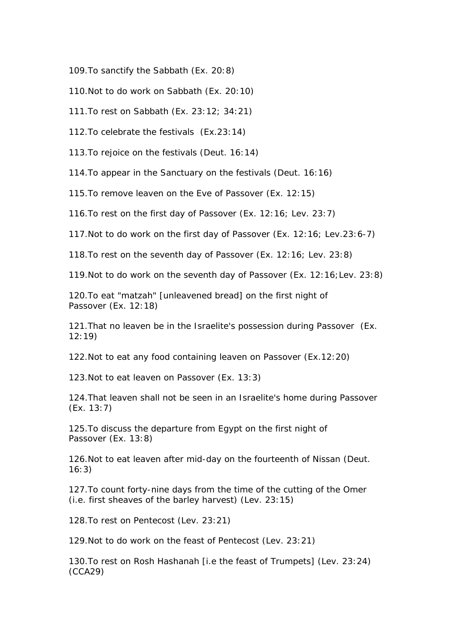109.To sanctify the Sabbath (Ex. 20:8)

110. Not to do work on Sabbath (Ex. 20:10)

111.To rest on Sabbath (Ex. 23:12; 34:21)

112.To celebrate the festivals (Ex.23:14)

113.To rejoice on the festivals (Deut. 16:14)

114.To appear in the Sanctuary on the festivals (Deut. 16:16)

115.To remove leaven on the Eve of Passover (Ex. 12:15)

116.To rest on the first day of Passover (Ex. 12:16; Lev. 23:7)

117.Not to do work on the first day of Passover (Ex. 12:16; Lev.23:6-7)

118.To rest on the seventh day of Passover (Ex. 12:16; Lev. 23:8)

119.Not to do work on the seventh day of Passover (Ex. 12:16;Lev. 23:8)

120.To eat "matzah" [unleavened bread] on the first night of Passover (Ex. 12:18)

121.That no leaven be in the Israelite's possession during Passover (Ex. 12:19)

122.Not to eat any food containing leaven on Passover (Ex.12:20)

123.Not to eat leaven on Passover (Ex. 13:3)

124.That leaven shall not be seen in an Israelite's home during Passover (Ex. 13:7)

125.To discuss the departure from Egypt on the first night of Passover (Ex. 13:8)

126.Not to eat leaven after mid-day on the fourteenth of Nissan (Deut. 16:3)

127.To count forty-nine days from the time of the cutting of the Omer (i.e. first sheaves of the barley harvest) (Lev. 23:15)

128.To rest on Pentecost (Lev. 23:21)

129.Not to do work on the feast of Pentecost (Lev. 23:21)

130.To rest on Rosh Hashanah [i.e the feast of Trumpets] (Lev. 23:24) (CCA29)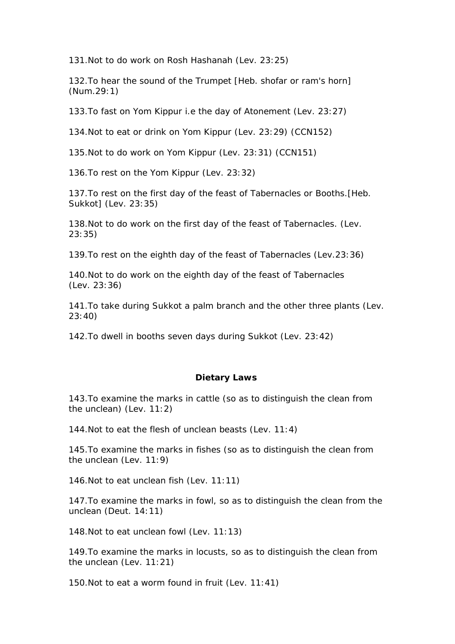131.Not to do work on Rosh Hashanah (Lev. 23:25)

132.To hear the sound of the Trumpet [Heb. shofar or ram's horn] (Num.29:1)

133.To fast on Yom Kippur i.e the day of Atonement (Lev. 23:27)

134.Not to eat or drink on Yom Kippur (Lev. 23:29) (CCN152)

135.Not to do work on Yom Kippur (Lev. 23:31) (CCN151)

136.To rest on the Yom Kippur (Lev. 23:32)

137.To rest on the first day of the feast of Tabernacles or Booths.[Heb. Sukkot] (Lev. 23:35)

138.Not to do work on the first day of the feast of Tabernacles. (Lev. 23:35)

139.To rest on the eighth day of the feast of Tabernacles (Lev.23:36)

140.Not to do work on the eighth day of the feast of Tabernacles (Lev. 23:36)

141.To take during Sukkot a palm branch and the other three plants (Lev. 23:40)

142.To dwell in booths seven days during Sukkot (Lev. 23:42)

#### **Dietary Laws**

143.To examine the marks in cattle (so as to distinguish the clean from the unclean) (Lev. 11:2)

144.Not to eat the flesh of unclean beasts (Lev. 11:4)

145.To examine the marks in fishes (so as to distinguish the clean from the unclean (Lev. 11:9)

146.Not to eat unclean fish (Lev. 11:11)

147.To examine the marks in fowl, so as to distinguish the clean from the unclean (Deut. 14:11)

148.Not to eat unclean fowl (Lev. 11:13)

149.To examine the marks in locusts, so as to distinguish the clean from the unclean (Lev. 11:21)

150.Not to eat a worm found in fruit (Lev. 11:41)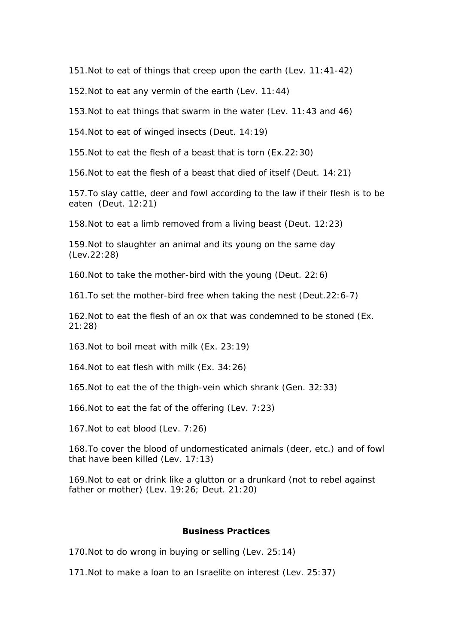151.Not to eat of things that creep upon the earth (Lev. 11:41-42)

152.Not to eat any vermin of the earth (Lev. 11:44)

153.Not to eat things that swarm in the water (Lev. 11:43 and 46)

154.Not to eat of winged insects (Deut. 14:19)

155.Not to eat the flesh of a beast that is torn (Ex.22:30)

156.Not to eat the flesh of a beast that died of itself (Deut. 14:21)

157.To slay cattle, deer and fowl according to the law if their flesh is to be eaten (Deut. 12:21)

158.Not to eat a limb removed from a living beast (Deut. 12:23)

159.Not to slaughter an animal and its young on the same day (Lev.22:28)

160.Not to take the mother-bird with the young (Deut. 22:6)

161.To set the mother-bird free when taking the nest (Deut.22:6-7)

162.Not to eat the flesh of an ox that was condemned to be stoned (Ex. 21:28)

163.Not to boil meat with milk (Ex. 23:19)

164.Not to eat flesh with milk (Ex. 34:26)

165.Not to eat the of the thigh-vein which shrank (Gen. 32:33)

166.Not to eat the fat of the offering (Lev. 7:23)

167.Not to eat blood (Lev. 7:26)

168.To cover the blood of undomesticated animals (deer, etc.) and of fowl that have been killed (Lev. 17:13)

169.Not to eat or drink like a glutton or a drunkard (not to rebel against father or mother) (Lev. 19:26; Deut. 21:20)

## **Business Practices**

170.Not to do wrong in buying or selling (Lev. 25:14)

171.Not to make a loan to an Israelite on interest (Lev. 25:37)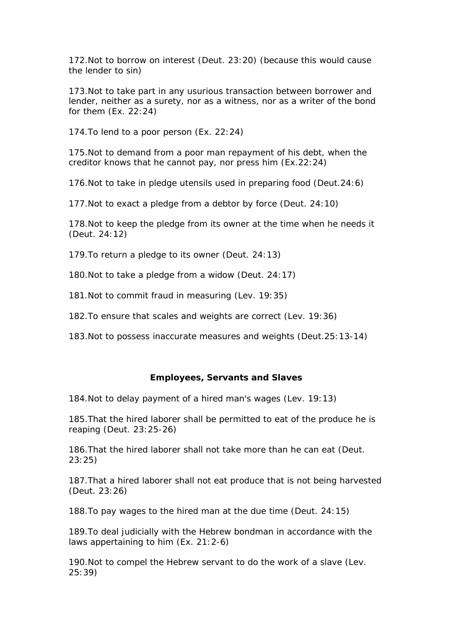172.Not to borrow on interest (Deut. 23:20) (because this would cause the lender to sin)

173.Not to take part in any usurious transaction between borrower and lender, neither as a surety, nor as a witness, nor as a writer of the bond for them (Ex. 22:24)

174.To lend to a poor person (Ex. 22:24)

175.Not to demand from a poor man repayment of his debt, when the creditor knows that he cannot pay, nor press him (Ex.22:24)

176.Not to take in pledge utensils used in preparing food (Deut.24:6)

177.Not to exact a pledge from a debtor by force (Deut. 24:10)

178.Not to keep the pledge from its owner at the time when he needs it (Deut. 24:12)

179.To return a pledge to its owner (Deut. 24:13)

180.Not to take a pledge from a widow (Deut. 24:17)

181.Not to commit fraud in measuring (Lev. 19:35)

182.To ensure that scales and weights are correct (Lev. 19:36)

183.Not to possess inaccurate measures and weights (Deut.25:13-14)

#### **Employees, Servants and Slaves**

184.Not to delay payment of a hired man's wages (Lev. 19:13)

185.That the hired laborer shall be permitted to eat of the produce he is reaping (Deut. 23:25-26)

186.That the hired laborer shall not take more than he can eat (Deut. 23:25)

187.That a hired laborer shall not eat produce that is not being harvested (Deut. 23:26)

188.To pay wages to the hired man at the due time (Deut. 24:15)

189.To deal judicially with the Hebrew bondman in accordance with the laws appertaining to him (Ex. 21:2-6)

190.Not to compel the Hebrew servant to do the work of a slave (Lev. 25:39)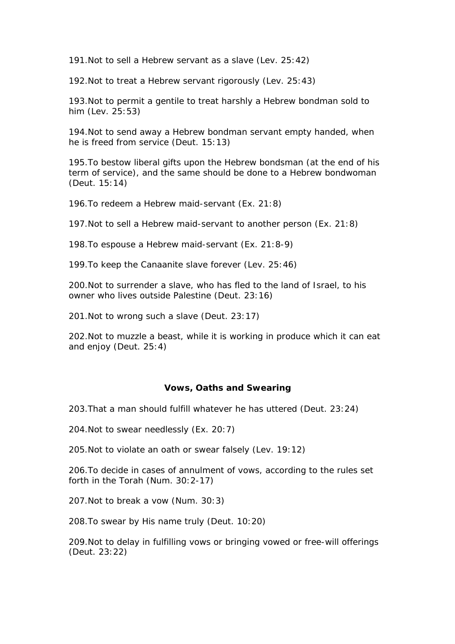191.Not to sell a Hebrew servant as a slave (Lev. 25:42)

192.Not to treat a Hebrew servant rigorously (Lev. 25:43)

193.Not to permit a gentile to treat harshly a Hebrew bondman sold to him (Lev. 25:53)

194.Not to send away a Hebrew bondman servant empty handed, when he is freed from service (Deut. 15:13)

195.To bestow liberal gifts upon the Hebrew bondsman (at the end of his term of service), and the same should be done to a Hebrew bondwoman (Deut. 15:14)

196.To redeem a Hebrew maid-servant (Ex. 21:8)

197.Not to sell a Hebrew maid-servant to another person (Ex. 21:8)

198.To espouse a Hebrew maid-servant (Ex. 21:8-9)

199.To keep the Canaanite slave forever (Lev. 25:46)

200.Not to surrender a slave, who has fled to the land of Israel, to his owner who lives outside Palestine (Deut. 23:16)

201.Not to wrong such a slave (Deut. 23:17)

202.Not to muzzle a beast, while it is working in produce which it can eat and enjoy (Deut. 25:4)

#### **Vows, Oaths and Swearing**

203.That a man should fulfill whatever he has uttered (Deut. 23:24)

204.Not to swear needlessly (Ex. 20:7)

205.Not to violate an oath or swear falsely (Lev. 19:12)

206.To decide in cases of annulment of vows, according to the rules set forth in the Torah (Num. 30:2-17)

207.Not to break a vow (Num. 30:3)

208.To swear by His name truly (Deut. 10:20)

209.Not to delay in fulfilling vows or bringing vowed or free-will offerings (Deut. 23:22)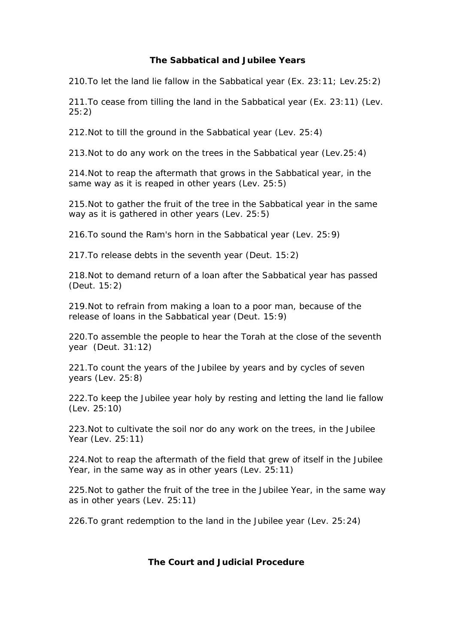# **The Sabbatical and Jubilee Years**

210.To let the land lie fallow in the Sabbatical year (Ex. 23:11; Lev.25:2)

211.To cease from tilling the land in the Sabbatical year (Ex. 23:11) (Lev. 25:2)

212.Not to till the ground in the Sabbatical year (Lev. 25:4)

213.Not to do any work on the trees in the Sabbatical year (Lev.25:4)

214.Not to reap the aftermath that grows in the Sabbatical year, in the same way as it is reaped in other years (Lev. 25:5)

215.Not to gather the fruit of the tree in the Sabbatical year in the same way as it is gathered in other years (Lev. 25:5)

216.To sound the Ram's horn in the Sabbatical year (Lev. 25:9)

217.To release debts in the seventh year (Deut. 15:2)

218.Not to demand return of a loan after the Sabbatical year has passed (Deut. 15:2)

219.Not to refrain from making a loan to a poor man, because of the release of loans in the Sabbatical year (Deut. 15:9)

220.To assemble the people to hear the Torah at the close of the seventh year (Deut. 31:12)

221.To count the years of the Jubilee by years and by cycles of seven years (Lev. 25:8)

222.To keep the Jubilee year holy by resting and letting the land lie fallow (Lev. 25:10)

223.Not to cultivate the soil nor do any work on the trees, in the Jubilee Year (Lev. 25:11)

224.Not to reap the aftermath of the field that grew of itself in the Jubilee Year, in the same way as in other years (Lev. 25:11)

225.Not to gather the fruit of the tree in the Jubilee Year, in the same way as in other years (Lev. 25:11)

226.To grant redemption to the land in the Jubilee year (Lev. 25:24)

# **The Court and Judicial Procedure**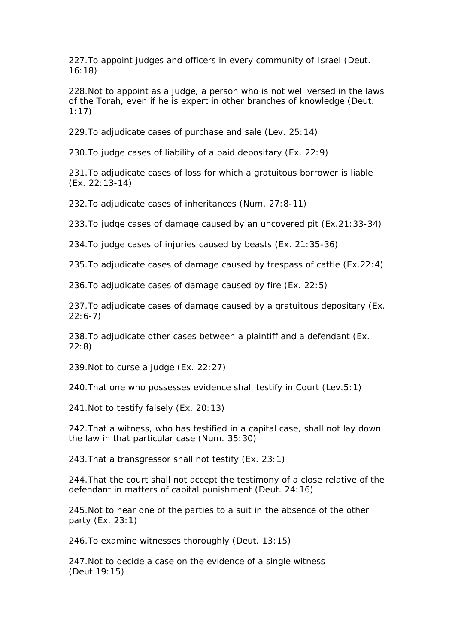227.To appoint judges and officers in every community of Israel (Deut. 16:18)

228.Not to appoint as a judge, a person who is not well versed in the laws of the Torah, even if he is expert in other branches of knowledge (Deut. 1:17)

229.To adjudicate cases of purchase and sale (Lev. 25:14)

230.To judge cases of liability of a paid depositary (Ex. 22:9)

231.To adjudicate cases of loss for which a gratuitous borrower is liable (Ex. 22:13-14)

232.To adjudicate cases of inheritances (Num. 27:8-11)

233.To judge cases of damage caused by an uncovered pit (Ex.21:33-34)

234.To judge cases of injuries caused by beasts (Ex. 21:35-36)

235.To adjudicate cases of damage caused by trespass of cattle (Ex.22:4)

236.To adjudicate cases of damage caused by fire (Ex. 22:5)

237.To adjudicate cases of damage caused by a gratuitous depositary (Ex. 22:6-7)

238.To adjudicate other cases between a plaintiff and a defendant (Ex. 22:8)

239.Not to curse a judge (Ex. 22:27)

240.That one who possesses evidence shall testify in Court (Lev.5:1)

241.Not to testify falsely (Ex. 20:13)

242.That a witness, who has testified in a capital case, shall not lay down the law in that particular case (Num. 35:30)

243.That a transgressor shall not testify (Ex. 23:1)

244.That the court shall not accept the testimony of a close relative of the defendant in matters of capital punishment (Deut. 24:16)

245.Not to hear one of the parties to a suit in the absence of the other party (Ex. 23:1)

246.To examine witnesses thoroughly (Deut. 13:15)

247.Not to decide a case on the evidence of a single witness (Deut.19:15)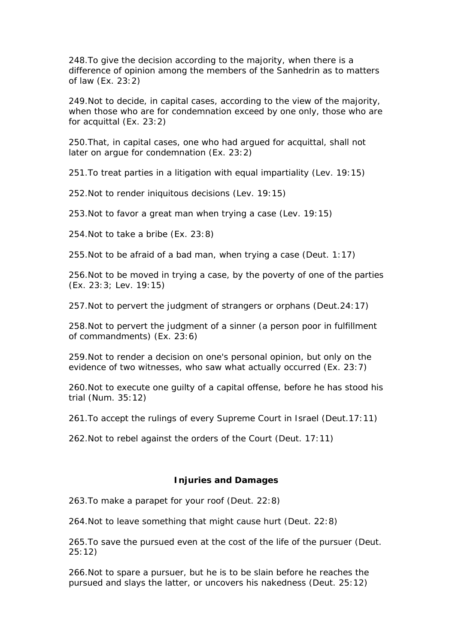248.To give the decision according to the majority, when there is a difference of opinion among the members of the Sanhedrin as to matters of law (Ex. 23:2)

249.Not to decide, in capital cases, according to the view of the majority, when those who are for condemnation exceed by one only, those who are for acquittal (Ex. 23:2)

250.That, in capital cases, one who had argued for acquittal, shall not later on argue for condemnation (Ex. 23:2)

251.To treat parties in a litigation with equal impartiality (Lev. 19:15)

252.Not to render iniquitous decisions (Lev. 19:15)

253.Not to favor a great man when trying a case (Lev. 19:15)

254.Not to take a bribe (Ex. 23:8)

255.Not to be afraid of a bad man, when trying a case (Deut. 1:17)

256.Not to be moved in trying a case, by the poverty of one of the parties (Ex. 23:3; Lev. 19:15)

257.Not to pervert the judgment of strangers or orphans (Deut.24:17)

258.Not to pervert the judgment of a sinner (a person poor in fulfillment of commandments) (Ex. 23:6)

259.Not to render a decision on one's personal opinion, but only on the evidence of two witnesses, who saw what actually occurred (Ex. 23:7)

260.Not to execute one guilty of a capital offense, before he has stood his trial (Num. 35:12)

261.To accept the rulings of every Supreme Court in Israel (Deut.17:11)

262.Not to rebel against the orders of the Court (Deut. 17:11)

## **Injuries and Damages**

263.To make a parapet for your roof (Deut. 22:8)

264.Not to leave something that might cause hurt (Deut. 22:8)

265.To save the pursued even at the cost of the life of the pursuer (Deut. 25:12)

266.Not to spare a pursuer, but he is to be slain before he reaches the pursued and slays the latter, or uncovers his nakedness (Deut. 25:12)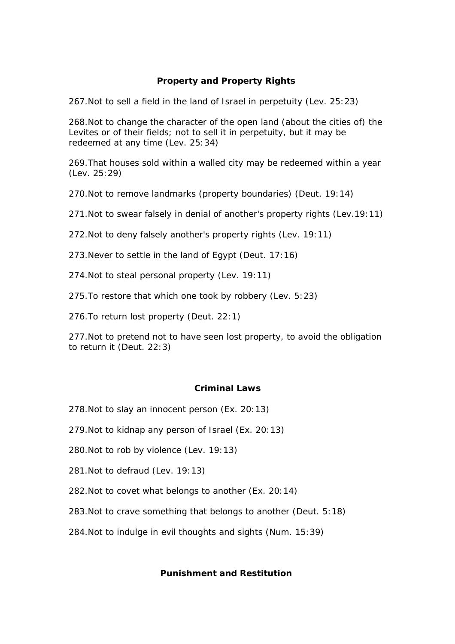# **Property and Property Rights**

267.Not to sell a field in the land of Israel in perpetuity (Lev. 25:23)

268.Not to change the character of the open land (about the cities of) the Levites or of their fields; not to sell it in perpetuity, but it may be redeemed at any time (Lev. 25:34)

269.That houses sold within a walled city may be redeemed within a year (Lev. 25:29)

270.Not to remove landmarks (property boundaries) (Deut. 19:14)

271.Not to swear falsely in denial of another's property rights (Lev.19:11)

272.Not to deny falsely another's property rights (Lev. 19:11)

273.Never to settle in the land of Egypt (Deut. 17:16)

274.Not to steal personal property (Lev. 19:11)

275.To restore that which one took by robbery (Lev. 5:23)

276.To return lost property (Deut. 22:1)

277.Not to pretend not to have seen lost property, to avoid the obligation to return it (Deut. 22:3)

#### **Criminal Laws**

278.Not to slay an innocent person (Ex. 20:13)

279.Not to kidnap any person of Israel (Ex. 20:13)

280.Not to rob by violence (Lev. 19:13)

281.Not to defraud (Lev. 19:13)

282.Not to covet what belongs to another (Ex. 20:14)

283.Not to crave something that belongs to another (Deut. 5:18)

284.Not to indulge in evil thoughts and sights (Num. 15:39)

### **Punishment and Restitution**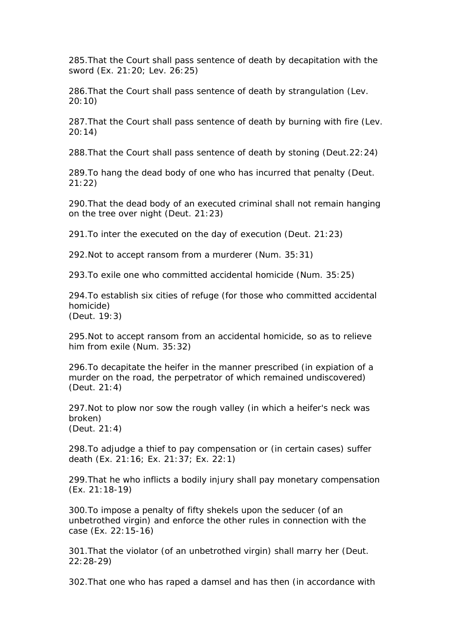285.That the Court shall pass sentence of death by decapitation with the sword (Ex. 21:20; Lev. 26:25)

286.That the Court shall pass sentence of death by strangulation (Lev. 20:10)

287.That the Court shall pass sentence of death by burning with fire (Lev. 20:14)

288.That the Court shall pass sentence of death by stoning (Deut.22:24)

289.To hang the dead body of one who has incurred that penalty (Deut. 21:22)

290.That the dead body of an executed criminal shall not remain hanging on the tree over night (Deut. 21:23)

291.To inter the executed on the day of execution (Deut. 21:23)

292.Not to accept ransom from a murderer (Num. 35:31)

293.To exile one who committed accidental homicide (Num. 35:25)

294.To establish six cities of refuge (for those who committed accidental homicide) (Deut. 19:3)

295.Not to accept ransom from an accidental homicide, so as to relieve him from exile (Num. 35:32)

296.To decapitate the heifer in the manner prescribed (in expiation of a murder on the road, the perpetrator of which remained undiscovered) (Deut. 21:4)

297.Not to plow nor sow the rough valley (in which a heifer's neck was broken) (Deut. 21:4)

298.To adjudge a thief to pay compensation or (in certain cases) suffer death (Ex. 21:16; Ex. 21:37; Ex. 22:1)

299.That he who inflicts a bodily injury shall pay monetary compensation (Ex. 21:18-19)

300.To impose a penalty of fifty shekels upon the seducer (of an unbetrothed virgin) and enforce the other rules in connection with the case (Ex. 22:15-16)

301.That the violator (of an unbetrothed virgin) shall marry her (Deut. 22:28-29)

302.That one who has raped a damsel and has then (in accordance with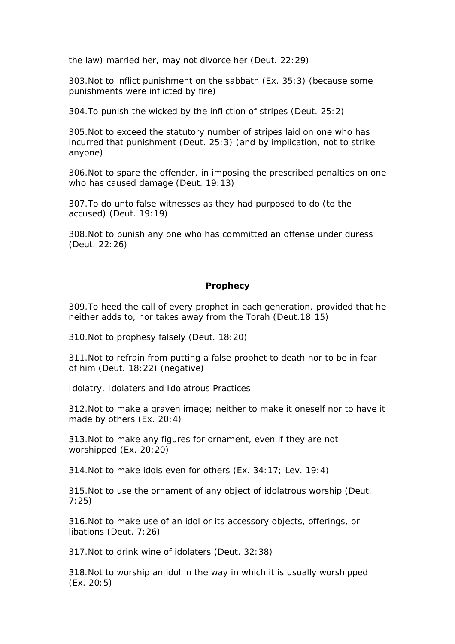the law) married her, may not divorce her (Deut. 22:29)

303.Not to inflict punishment on the sabbath (Ex. 35:3) (because some punishments were inflicted by fire)

304.To punish the wicked by the infliction of stripes (Deut. 25:2)

305.Not to exceed the statutory number of stripes laid on one who has incurred that punishment (Deut. 25:3) (and by implication, not to strike anyone)

306.Not to spare the offender, in imposing the prescribed penalties on one who has caused damage (Deut. 19:13)

307.To do unto false witnesses as they had purposed to do (to the accused) (Deut. 19:19)

308.Not to punish any one who has committed an offense under duress (Deut. 22:26)

### **Prophecy**

309.To heed the call of every prophet in each generation, provided that he neither adds to, nor takes away from the Torah (Deut.18:15)

310.Not to prophesy falsely (Deut. 18:20)

311.Not to refrain from putting a false prophet to death nor to be in fear of him (Deut. 18:22) (negative)

*Idolatry, Idolaters and Idolatrous Practices*

312.Not to make a graven image; neither to make it oneself nor to have it made by others (Ex. 20:4)

313.Not to make any figures for ornament, even if they are not worshipped (Ex. 20:20)

314.Not to make idols even for others (Ex. 34:17; Lev. 19:4)

315.Not to use the ornament of any object of idolatrous worship (Deut. 7:25)

316.Not to make use of an idol or its accessory objects, offerings, or libations (Deut. 7:26)

317.Not to drink wine of idolaters (Deut. 32:38)

318.Not to worship an idol in the way in which it is usually worshipped (Ex. 20:5)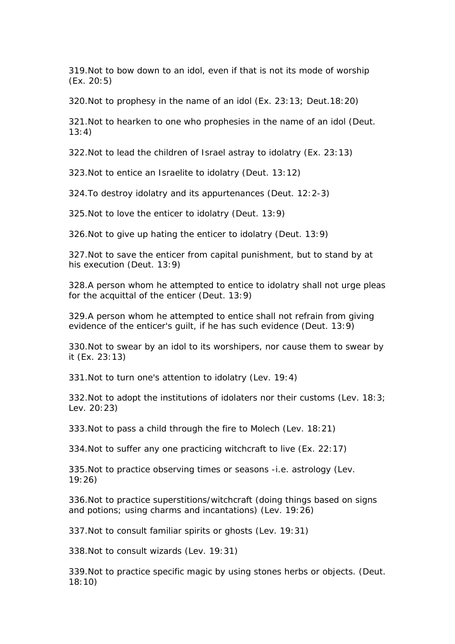319.Not to bow down to an idol, even if that is not its mode of worship (Ex. 20:5)

320.Not to prophesy in the name of an idol (Ex. 23:13; Deut.18:20)

321.Not to hearken to one who prophesies in the name of an idol (Deut.  $13:4$ 

322.Not to lead the children of Israel astray to idolatry (Ex. 23:13)

323.Not to entice an Israelite to idolatry (Deut. 13:12)

324.To destroy idolatry and its appurtenances (Deut. 12:2-3)

325.Not to love the enticer to idolatry (Deut. 13:9)

326.Not to give up hating the enticer to idolatry (Deut. 13:9)

327.Not to save the enticer from capital punishment, but to stand by at his execution (Deut. 13:9)

328.A person whom he attempted to entice to idolatry shall not urge pleas for the acquittal of the enticer (Deut. 13:9)

329.A person whom he attempted to entice shall not refrain from giving evidence of the enticer's guilt, if he has such evidence (Deut. 13:9)

330.Not to swear by an idol to its worshipers, nor cause them to swear by it (Ex. 23:13)

331.Not to turn one's attention to idolatry (Lev. 19:4)

332.Not to adopt the institutions of idolaters nor their customs (Lev. 18:3; Lev. 20:23)

333.Not to pass a child through the fire to Molech (Lev. 18:21)

334.Not to suffer any one practicing witchcraft to live (Ex. 22:17)

335.Not to practice observing times or seasons -i.e. astrology (Lev. 19:26)

336.Not to practice superstitions/witchcraft (doing things based on signs and potions; using charms and incantations) (Lev. 19:26)

337.Not to consult familiar spirits or ghosts (Lev. 19:31)

338.Not to consult wizards (Lev. 19:31)

339.Not to practice specific magic by using stones herbs or objects. (Deut. 18:10)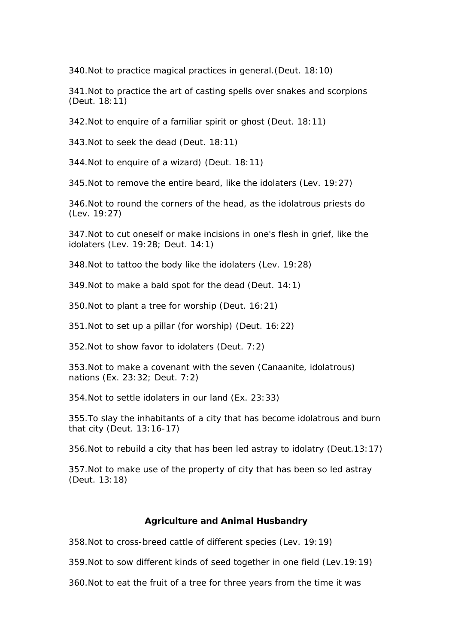340.Not to practice magical practices in general.(Deut. 18:10)

341.Not to practice the art of casting spells over snakes and scorpions (Deut. 18:11)

342.Not to enquire of a familiar spirit or ghost (Deut. 18:11)

343.Not to seek the dead (Deut. 18:11)

344.Not to enquire of a wizard) (Deut. 18:11)

345.Not to remove the entire beard, like the idolaters (Lev. 19:27)

346.Not to round the corners of the head, as the idolatrous priests do (Lev. 19:27)

347.Not to cut oneself or make incisions in one's flesh in grief, like the idolaters (Lev. 19:28; Deut. 14:1)

348.Not to tattoo the body like the idolaters (Lev. 19:28)

349.Not to make a bald spot for the dead (Deut. 14:1)

350.Not to plant a tree for worship (Deut. 16:21)

351.Not to set up a pillar (for worship) (Deut. 16:22)

352.Not to show favor to idolaters (Deut. 7:2)

353.Not to make a covenant with the seven (Canaanite, idolatrous) nations (Ex. 23:32; Deut. 7:2)

354.Not to settle idolaters in our land (Ex. 23:33)

355.To slay the inhabitants of a city that has become idolatrous and burn that city (Deut. 13:16-17)

356.Not to rebuild a city that has been led astray to idolatry (Deut.13:17)

357.Not to make use of the property of city that has been so led astray (Deut. 13:18)

#### **Agriculture and Animal Husbandry**

358.Not to cross-breed cattle of different species (Lev. 19:19)

359.Not to sow different kinds of seed together in one field (Lev.19:19)

360.Not to eat the fruit of a tree for three years from the time it was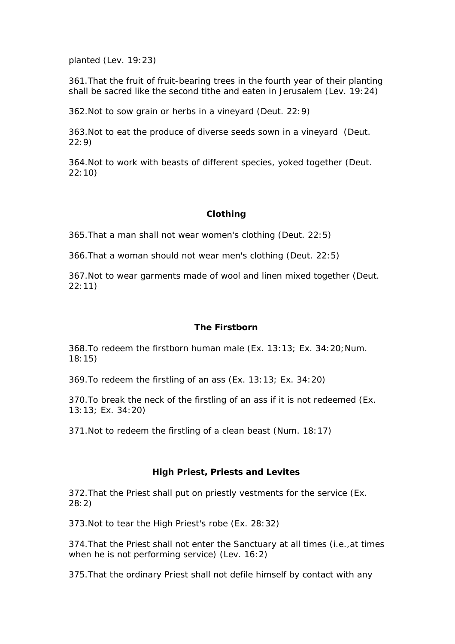planted (Lev. 19:23)

361.That the fruit of fruit-bearing trees in the fourth year of their planting shall be sacred like the second tithe and eaten in Jerusalem (Lev. 19:24)

362.Not to sow grain or herbs in a vineyard (Deut. 22:9)

363.Not to eat the produce of diverse seeds sown in a vineyard (Deut. 22:9)

364.Not to work with beasts of different species, yoked together (Deut. 22:10)

# **Clothing**

365.That a man shall not wear women's clothing (Deut. 22:5)

366.That a woman should not wear men's clothing (Deut. 22:5)

367.Not to wear garments made of wool and linen mixed together (Deut. 22:11)

# **The Firstborn**

368.To redeem the firstborn human male (Ex. 13:13; Ex. 34:20;Num. 18:15)

369.To redeem the firstling of an ass (Ex. 13:13; Ex. 34:20)

370.To break the neck of the firstling of an ass if it is not redeemed (Ex. 13:13; Ex. 34:20)

371.Not to redeem the firstling of a clean beast (Num. 18:17)

# **High Priest, Priests and Levites**

372.That the Priest shall put on priestly vestments for the service (Ex. 28:2)

373.Not to tear the High Priest's robe (Ex. 28:32)

374.That the Priest shall not enter the Sanctuary at all times (i.e.,at times when he is not performing service) (Lev. 16:2)

375.That the ordinary Priest shall not defile himself by contact with any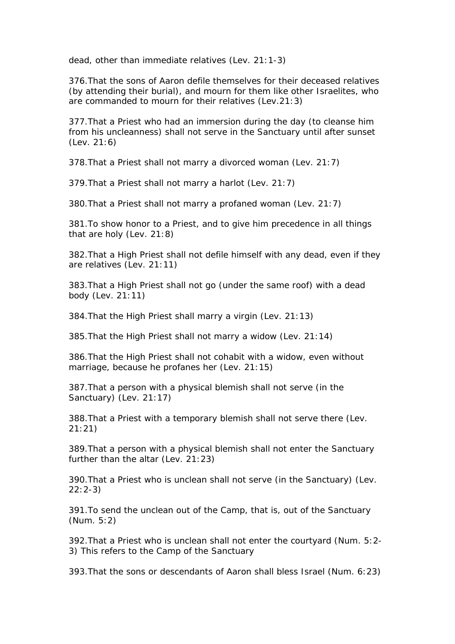dead, other than immediate relatives (Lev. 21:1-3)

376.That the sons of Aaron defile themselves for their deceased relatives (by attending their burial), and mourn for them like other Israelites, who are commanded to mourn for their relatives (Lev.21:3)

377.That a Priest who had an immersion during the day (to cleanse him from his uncleanness) shall not serve in the Sanctuary until after sunset (Lev. 21:6)

378.That a Priest shall not marry a divorced woman (Lev. 21:7)

379.That a Priest shall not marry a harlot (Lev. 21:7)

380.That a Priest shall not marry a profaned woman (Lev. 21:7)

381.To show honor to a Priest, and to give him precedence in all things that are holy (Lev. 21:8)

382.That a High Priest shall not defile himself with any dead, even if they are relatives (Lev. 21:11)

383.That a High Priest shall not go (under the same roof) with a dead body (Lev. 21:11)

384.That the High Priest shall marry a virgin (Lev. 21:13)

385.That the High Priest shall not marry a widow (Lev. 21:14)

386.That the High Priest shall not cohabit with a widow, even without marriage, because he profanes her (Lev. 21:15)

387.That a person with a physical blemish shall not serve (in the Sanctuary) (Lev. 21:17)

388.That a Priest with a temporary blemish shall not serve there (Lev. 21:21)

389.That a person with a physical blemish shall not enter the Sanctuary further than the altar (Lev. 21:23)

390.That a Priest who is unclean shall not serve (in the Sanctuary) (Lev. 22:2-3)

391.To send the unclean out of the Camp, that is, out of the Sanctuary (Num. 5:2)

392.That a Priest who is unclean shall not enter the courtyard (Num. 5:2- 3) This refers to the Camp of the Sanctuary

393.That the sons or descendants of Aaron shall bless Israel (Num. 6:23)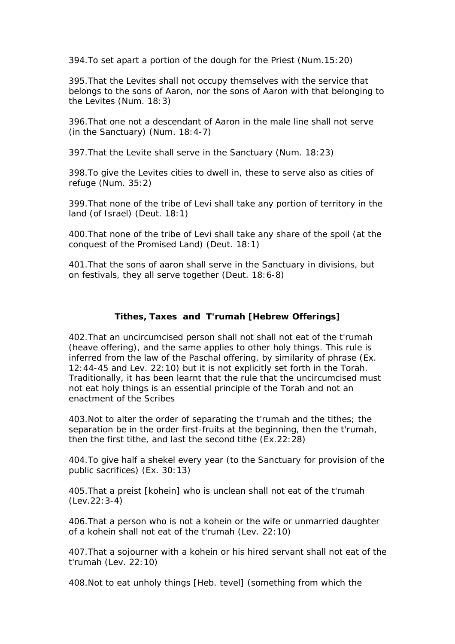394.To set apart a portion of the dough for the Priest (Num.15:20)

395.That the Levites shall not occupy themselves with the service that belongs to the sons of Aaron, nor the sons of Aaron with that belonging to the Levites (Num. 18:3)

396.That one not a descendant of Aaron in the male line shall not serve (in the Sanctuary) (Num. 18:4-7)

397.That the Levite shall serve in the Sanctuary (Num. 18:23)

398.To give the Levites cities to dwell in, these to serve also as cities of refuge (Num. 35:2)

399.That none of the tribe of Levi shall take any portion of territory in the land (of Israel) (Deut. 18:1)

400.That none of the tribe of Levi shall take any share of the spoil (at the conquest of the Promised Land) (Deut. 18:1)

401.That the sons of aaron shall serve in the Sanctuary in divisions, but on festivals, they all serve together (Deut. 18:6-8)

# **Tithes, Taxes and T'rumah [Hebrew Offerings]**

402.That an uncircumcised person shall not shall not eat of the t'rumah (heave offering), and the same applies to other holy things. This rule is inferred from the law of the Paschal offering, by similarity of phrase (Ex. 12:44-45 and Lev. 22:10) but it is not explicitly set forth in the Torah. Traditionally, it has been learnt that the rule that the uncircumcised must not eat holy things is an essential principle of the Torah and not an enactment of the Scribes

403.Not to alter the order of separating the t'rumah and the tithes; the separation be in the order first-fruits at the beginning, then the t'rumah, then the first tithe, and last the second tithe (Ex.22:28)

404.To give half a shekel every year (to the Sanctuary for provision of the public sacrifices) (Ex. 30:13)

405.That a preist [kohein] who is unclean shall not eat of the t'rumah (Lev.22:3-4)

406.That a person who is not a kohein or the wife or unmarried daughter of a kohein shall not eat of the t'rumah (Lev. 22:10)

407.That a sojourner with a kohein or his hired servant shall not eat of the t'rumah (Lev. 22:10)

408.Not to eat unholy things [Heb. tevel] (something from which the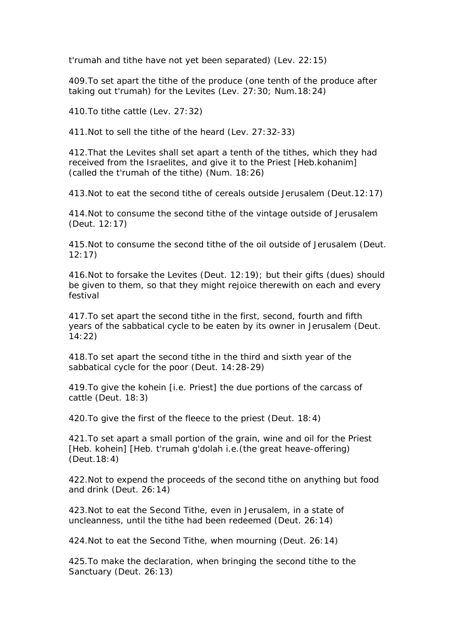t'rumah and tithe have not yet been separated) (Lev. 22:15)

409.To set apart the tithe of the produce (one tenth of the produce after taking out t'rumah) for the Levites (Lev. 27:30; Num.18:24)

410.To tithe cattle (Lev. 27:32)

411.Not to sell the tithe of the heard (Lev. 27:32-33)

412.That the Levites shall set apart a tenth of the tithes, which they had received from the Israelites, and give it to the Priest [Heb.kohanim] (called the t'rumah of the tithe) (Num. 18:26)

413.Not to eat the second tithe of cereals outside Jerusalem (Deut.12:17)

414.Not to consume the second tithe of the vintage outside of Jerusalem (Deut. 12:17)

415.Not to consume the second tithe of the oil outside of Jerusalem (Deut. 12:17)

416.Not to forsake the Levites (Deut. 12:19); but their gifts (dues) should be given to them, so that they might rejoice therewith on each and every festival

417.To set apart the second tithe in the first, second, fourth and fifth years of the sabbatical cycle to be eaten by its owner in Jerusalem (Deut. 14:22)

418.To set apart the second tithe in the third and sixth year of the sabbatical cycle for the poor (Deut. 14:28-29)

419.To give the kohein [i.e. Priest] the due portions of the carcass of cattle (Deut. 18:3)

420.To give the first of the fleece to the priest (Deut. 18:4)

421.To set apart a small portion of the grain, wine and oil for the Priest [Heb. kohein] [Heb. t'rumah g'dolah i.e. (the great heave-offering) (Deut.18:4)

422.Not to expend the proceeds of the second tithe on anything but food and drink (Deut. 26:14)

423.Not to eat the Second Tithe, even in Jerusalem, in a state of uncleanness, until the tithe had been redeemed (Deut. 26:14)

424.Not to eat the Second Tithe, when mourning (Deut. 26:14)

425.To make the declaration, when bringing the second tithe to the Sanctuary (Deut. 26:13)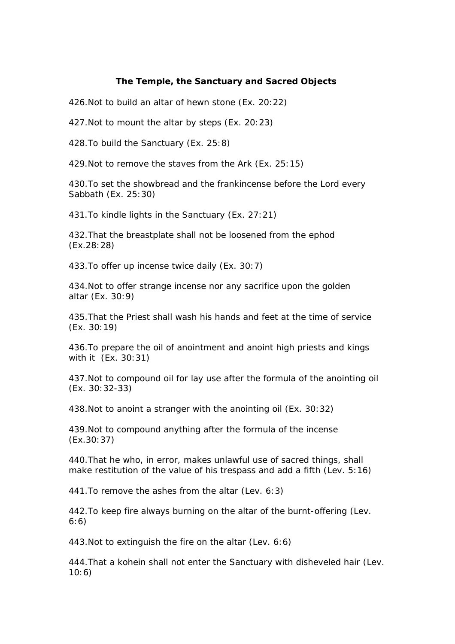## **The Temple, the Sanctuary and Sacred Objects**

426.Not to build an altar of hewn stone (Ex. 20:22)

427.Not to mount the altar by steps (Ex. 20:23)

428.To build the Sanctuary (Ex. 25:8)

429.Not to remove the staves from the Ark (Ex. 25:15)

430.To set the showbread and the frankincense before the Lord every Sabbath (Ex. 25:30)

431.To kindle lights in the Sanctuary (Ex. 27:21)

432.That the breastplate shall not be loosened from the ephod (Ex.28:28)

433.To offer up incense twice daily (Ex. 30:7)

434.Not to offer strange incense nor any sacrifice upon the golden altar (Ex. 30:9)

435.That the Priest shall wash his hands and feet at the time of service (Ex. 30:19)

436.To prepare the oil of anointment and anoint high priests and kings with it (Ex. 30:31)

437.Not to compound oil for lay use after the formula of the anointing oil (Ex. 30:32-33)

438.Not to anoint a stranger with the anointing oil (Ex. 30:32)

439.Not to compound anything after the formula of the incense (Ex.30:37)

440.That he who, in error, makes unlawful use of sacred things, shall make restitution of the value of his trespass and add a fifth (Lev. 5:16)

441.To remove the ashes from the altar (Lev. 6:3)

442.To keep fire always burning on the altar of the burnt-offering (Lev. 6:6)

443.Not to extinguish the fire on the altar (Lev. 6:6)

444.That a kohein shall not enter the Sanctuary with disheveled hair (Lev. 10:6)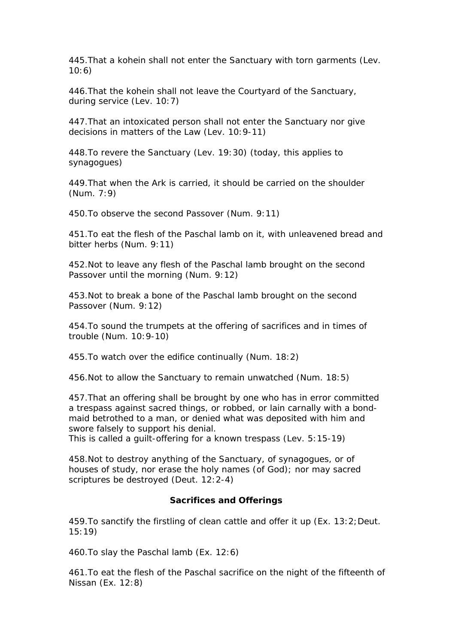445.That a kohein shall not enter the Sanctuary with torn garments (Lev. 10:6)

446.That the kohein shall not leave the Courtyard of the Sanctuary, during service (Lev. 10:7)

447.That an intoxicated person shall not enter the Sanctuary nor give decisions in matters of the Law (Lev. 10:9-11)

448.To revere the Sanctuary (Lev. 19:30) (today, this applies to synagogues)

449.That when the Ark is carried, it should be carried on the shoulder (Num. 7:9)

450.To observe the second Passover (Num. 9:11)

451.To eat the flesh of the Paschal lamb on it, with unleavened bread and bitter herbs (Num. 9:11)

452.Not to leave any flesh of the Paschal lamb brought on the second Passover until the morning (Num. 9:12)

453.Not to break a bone of the Paschal lamb brought on the second Passover (Num. 9:12)

454.To sound the trumpets at the offering of sacrifices and in times of trouble (Num. 10:9-10)

455.To watch over the edifice continually (Num. 18:2)

456.Not to allow the Sanctuary to remain unwatched (Num. 18:5)

457.That an offering shall be brought by one who has in error committed a trespass against sacred things, or robbed, or lain carnally with a bondmaid betrothed to a man, or denied what was deposited with him and swore falsely to support his denial.

This is called a guilt-offering for a known trespass (Lev. 5:15-19)

458.Not to destroy anything of the Sanctuary, of synagogues, or of houses of study, nor erase the holy names (of God); nor may sacred scriptures be destroyed (Deut. 12:2-4)

#### **Sacrifices and Offerings**

459.To sanctify the firstling of clean cattle and offer it up (Ex. 13:2;Deut. 15:19)

460.To slay the Paschal lamb (Ex. 12:6)

461.To eat the flesh of the Paschal sacrifice on the night of the fifteenth of Nissan (Ex. 12:8)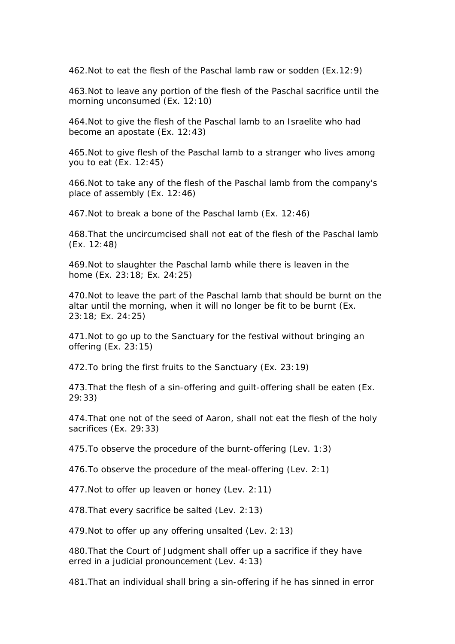462.Not to eat the flesh of the Paschal lamb raw or sodden (Ex.12:9)

463.Not to leave any portion of the flesh of the Paschal sacrifice until the morning unconsumed (Ex. 12:10)

464.Not to give the flesh of the Paschal lamb to an Israelite who had become an apostate (Ex. 12:43)

465.Not to give flesh of the Paschal lamb to a stranger who lives among you to eat (Ex. 12:45)

466.Not to take any of the flesh of the Paschal lamb from the company's place of assembly (Ex. 12:46)

467.Not to break a bone of the Paschal lamb (Ex. 12:46)

468.That the uncircumcised shall not eat of the flesh of the Paschal lamb (Ex. 12:48)

469.Not to slaughter the Paschal lamb while there is leaven in the home (Ex. 23:18; Ex. 24:25)

470.Not to leave the part of the Paschal lamb that should be burnt on the altar until the morning, when it will no longer be fit to be burnt (Ex. 23:18; Ex. 24:25)

471.Not to go up to the Sanctuary for the festival without bringing an offering (Ex. 23:15)

472.To bring the first fruits to the Sanctuary (Ex. 23:19)

473.That the flesh of a sin-offering and guilt-offering shall be eaten (Ex. 29:33)

474.That one not of the seed of Aaron, shall not eat the flesh of the holy sacrifices (Ex. 29:33)

475.To observe the procedure of the burnt-offering (Lev. 1:3)

476.To observe the procedure of the meal-offering (Lev. 2:1)

477.Not to offer up leaven or honey (Lev. 2:11)

478.That every sacrifice be salted (Lev. 2:13)

479.Not to offer up any offering unsalted (Lev. 2:13)

480.That the Court of Judgment shall offer up a sacrifice if they have erred in a judicial pronouncement (Lev. 4:13)

481.That an individual shall bring a sin-offering if he has sinned in error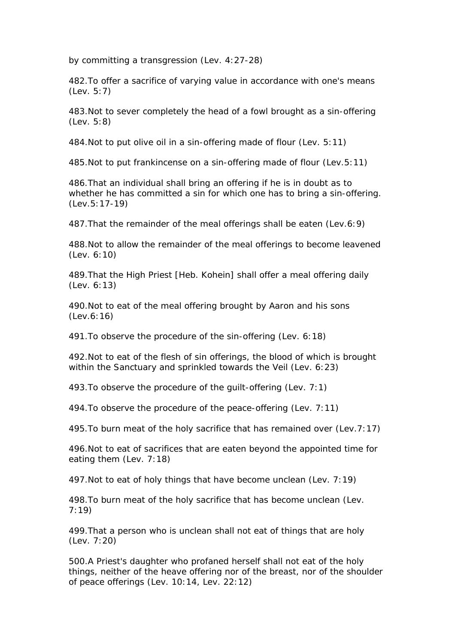by committing a transgression (Lev. 4:27-28)

482.To offer a sacrifice of varying value in accordance with one's means (Lev. 5:7)

483.Not to sever completely the head of a fowl brought as a sin-offering (Lev. 5:8)

484.Not to put olive oil in a sin-offering made of flour (Lev. 5:11)

485.Not to put frankincense on a sin-offering made of flour (Lev.5:11)

486.That an individual shall bring an offering if he is in doubt as to whether he has committed a sin for which one has to bring a sin-offering. (Lev.5:17-19)

487.That the remainder of the meal offerings shall be eaten (Lev.6:9)

488.Not to allow the remainder of the meal offerings to become leavened (Lev. 6:10)

489.That the High Priest [Heb. Kohein] shall offer a meal offering daily (Lev. 6:13)

490.Not to eat of the meal offering brought by Aaron and his sons (Lev.6:16)

491.To observe the procedure of the sin-offering (Lev. 6:18)

492.Not to eat of the flesh of sin offerings, the blood of which is brought within the Sanctuary and sprinkled towards the Veil (Lev. 6:23)

493.To observe the procedure of the guilt-offering (Lev. 7:1)

494.To observe the procedure of the peace-offering (Lev. 7:11)

495.To burn meat of the holy sacrifice that has remained over (Lev.7:17)

496.Not to eat of sacrifices that are eaten beyond the appointed time for eating them (Lev. 7:18)

497.Not to eat of holy things that have become unclean (Lev. 7:19)

498.To burn meat of the holy sacrifice that has become unclean (Lev. 7:19)

499.That a person who is unclean shall not eat of things that are holy (Lev. 7:20)

500.A Priest's daughter who profaned herself shall not eat of the holy things, neither of the heave offering nor of the breast, nor of the shoulder of peace offerings (Lev. 10:14, Lev. 22:12)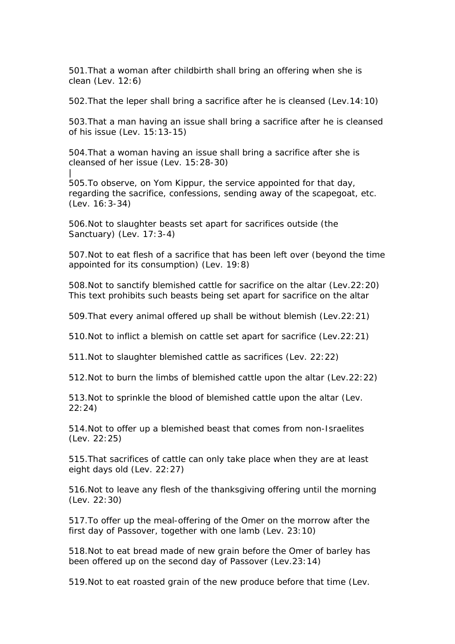501.That a woman after childbirth shall bring an offering when she is clean (Lev. 12:6)

502.That the leper shall bring a sacrifice after he is cleansed (Lev.14:10)

503.That a man having an issue shall bring a sacrifice after he is cleansed of his issue (Lev. 15:13-15)

504.That a woman having an issue shall bring a sacrifice after she is cleansed of her issue (Lev. 15:28-30) |

505.To observe, on Yom Kippur, the service appointed for that day, regarding the sacrifice, confessions, sending away of the scapegoat, etc. (Lev. 16:3-34)

506.Not to slaughter beasts set apart for sacrifices outside (the Sanctuary) (Lev. 17:3-4)

507.Not to eat flesh of a sacrifice that has been left over (beyond the time appointed for its consumption) (Lev. 19:8)

508.Not to sanctify blemished cattle for sacrifice on the altar (Lev.22:20) This text prohibits such beasts being set apart for sacrifice on the altar

509.That every animal offered up shall be without blemish (Lev.22:21)

510.Not to inflict a blemish on cattle set apart for sacrifice (Lev.22:21)

511.Not to slaughter blemished cattle as sacrifices (Lev. 22:22)

512.Not to burn the limbs of blemished cattle upon the altar (Lev.22:22)

513.Not to sprinkle the blood of blemished cattle upon the altar (Lev. 22:24)

514.Not to offer up a blemished beast that comes from non-Israelites (Lev. 22:25)

515.That sacrifices of cattle can only take place when they are at least eight days old (Lev. 22:27)

516.Not to leave any flesh of the thanksgiving offering until the morning (Lev. 22:30)

517.To offer up the meal-offering of the Omer on the morrow after the first day of Passover, together with one lamb (Lev. 23:10)

518.Not to eat bread made of new grain before the Omer of barley has been offered up on the second day of Passover (Lev.23:14)

519.Not to eat roasted grain of the new produce before that time (Lev.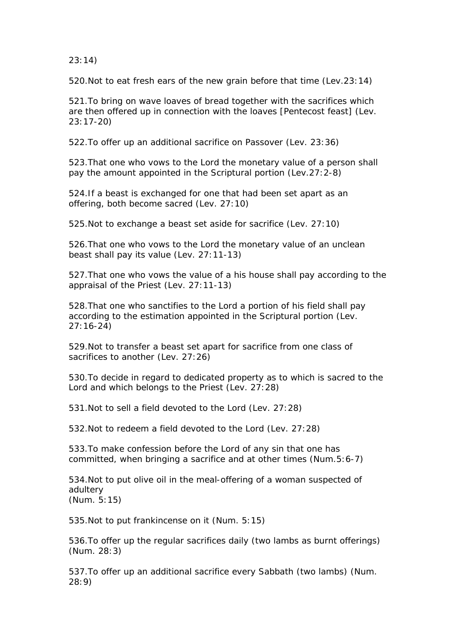23:14)

520.Not to eat fresh ears of the new grain before that time (Lev.23:14)

521.To bring on wave loaves of bread together with the sacrifices which are then offered up in connection with the loaves [Pentecost feast] (Lev. 23:17-20)

522.To offer up an additional sacrifice on Passover (Lev. 23:36)

523.That one who vows to the Lord the monetary value of a person shall pay the amount appointed in the Scriptural portion (Lev.27:2-8)

524.If a beast is exchanged for one that had been set apart as an offering, both become sacred (Lev. 27:10)

525.Not to exchange a beast set aside for sacrifice (Lev. 27:10)

526.That one who vows to the Lord the monetary value of an unclean beast shall pay its value (Lev. 27:11-13)

527.That one who vows the value of a his house shall pay according to the appraisal of the Priest (Lev. 27:11-13)

528.That one who sanctifies to the Lord a portion of his field shall pay according to the estimation appointed in the Scriptural portion (Lev. 27:16-24)

529.Not to transfer a beast set apart for sacrifice from one class of sacrifices to another (Lev. 27:26)

530.To decide in regard to dedicated property as to which is sacred to the Lord and which belongs to the Priest (Lev. 27:28)

531.Not to sell a field devoted to the Lord (Lev. 27:28)

532.Not to redeem a field devoted to the Lord (Lev. 27:28)

533.To make confession before the Lord of any sin that one has committed, when bringing a sacrifice and at other times (Num.5:6-7)

534.Not to put olive oil in the meal-offering of a woman suspected of adultery (Num. 5:15)

535.Not to put frankincense on it (Num. 5:15)

536.To offer up the regular sacrifices daily (two lambs as burnt offerings) (Num. 28:3)

537.To offer up an additional sacrifice every Sabbath (two lambs) (Num. 28:9)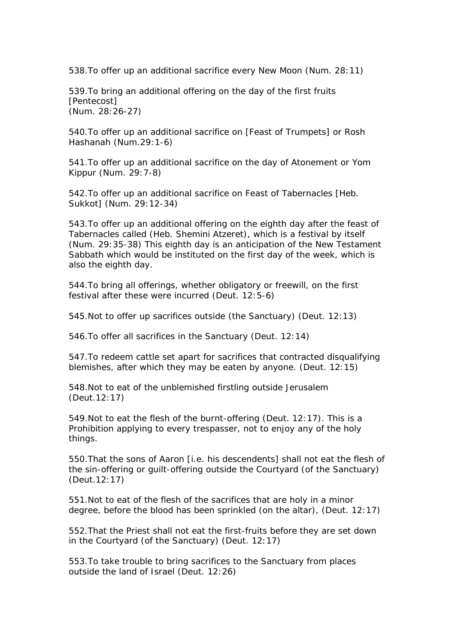538.To offer up an additional sacrifice every New Moon (Num. 28:11)

539.To bring an additional offering on the day of the first fruits [Pentecost] (Num. 28:26-27)

540.To offer up an additional sacrifice on [Feast of Trumpets] or Rosh Hashanah (Num.29:1-6)

541.To offer up an additional sacrifice on the day of Atonement or Yom Kippur (Num. 29:7-8)

542.To offer up an additional sacrifice on Feast of Tabernacles [Heb. Sukkot] (Num. 29:12-34)

543.To offer up an additional offering on the eighth day after the feast of Tabernacles called (Heb. Shemini Atzeret), which is a festival by itself (Num. 29:35-38) This eighth day is an anticipation of the New Testament Sabbath which would be instituted on the first day of the week, which is also the eighth day.

544.To bring all offerings, whether obligatory or freewill, on the first festival after these were incurred (Deut. 12:5-6)

545.Not to offer up sacrifices outside (the Sanctuary) (Deut. 12:13)

546.To offer all sacrifices in the Sanctuary (Deut. 12:14)

547.To redeem cattle set apart for sacrifices that contracted disqualifying blemishes, after which they may be eaten by anyone. (Deut. 12:15)

548.Not to eat of the unblemished firstling outside Jerusalem (Deut.12:17)

549.Not to eat the flesh of the burnt-offering (Deut. 12:17). This is a Prohibition applying to every trespasser, not to enjoy any of the holy things.

550.That the sons of Aaron [i.e. his descendents] shall not eat the flesh of the sin-offering or guilt-offering outside the Courtyard (of the Sanctuary) (Deut.12:17)

551.Not to eat of the flesh of the sacrifices that are holy in a minor degree, before the blood has been sprinkled (on the altar), (Deut. 12:17)

552.That the Priest shall not eat the first-fruits before they are set down in the Courtyard (of the Sanctuary) (Deut. 12:17)

553.To take trouble to bring sacrifices to the Sanctuary from places outside the land of Israel (Deut. 12:26)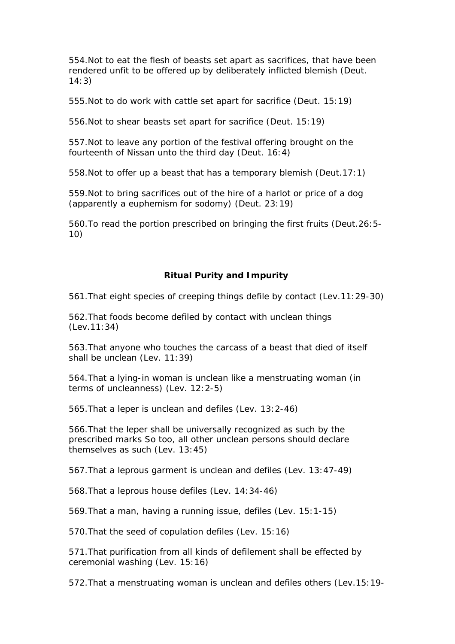554.Not to eat the flesh of beasts set apart as sacrifices, that have been rendered unfit to be offered up by deliberately inflicted blemish (Deut. 14:3)

555.Not to do work with cattle set apart for sacrifice (Deut. 15:19)

556.Not to shear beasts set apart for sacrifice (Deut. 15:19)

557.Not to leave any portion of the festival offering brought on the fourteenth of Nissan unto the third day (Deut. 16:4)

558.Not to offer up a beast that has a temporary blemish (Deut.17:1)

559.Not to bring sacrifices out of the hire of a harlot or price of a dog (apparently a euphemism for sodomy) (Deut. 23:19)

560.To read the portion prescribed on bringing the first fruits (Deut.26:5- 10)

## **Ritual Purity and Impurity**

561.That eight species of creeping things defile by contact (Lev.11:29-30)

562.That foods become defiled by contact with unclean things (Lev.11:34)

563.That anyone who touches the carcass of a beast that died of itself shall be unclean (Lev. 11:39)

564.That a lying-in woman is unclean like a menstruating woman (in terms of uncleanness) (Lev. 12:2-5)

565.That a leper is unclean and defiles (Lev. 13:2-46)

566.That the leper shall be universally recognized as such by the prescribed marks So too, all other unclean persons should declare themselves as such (Lev. 13:45)

567.That a leprous garment is unclean and defiles (Lev. 13:47-49)

568.That a leprous house defiles (Lev. 14:34-46)

569.That a man, having a running issue, defiles (Lev. 15:1-15)

570.That the seed of copulation defiles (Lev. 15:16)

571.That purification from all kinds of defilement shall be effected by ceremonial washing (Lev. 15:16)

572.That a menstruating woman is unclean and defiles others (Lev.15:19-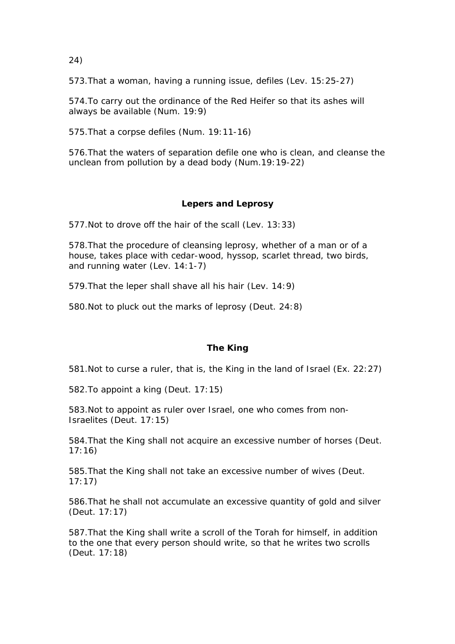24)

573.That a woman, having a running issue, defiles (Lev. 15:25-27)

574.To carry out the ordinance of the Red Heifer so that its ashes will always be available (Num. 19:9)

575.That a corpse defiles (Num. 19:11-16)

576.That the waters of separation defile one who is clean, and cleanse the unclean from pollution by a dead body (Num.19:19-22)

# **Lepers and Leprosy**

577.Not to drove off the hair of the scall (Lev. 13:33)

578.That the procedure of cleansing leprosy, whether of a man or of a house, takes place with cedar-wood, hyssop, scarlet thread, two birds, and running water (Lev. 14:1-7)

579.That the leper shall shave all his hair (Lev. 14:9)

580.Not to pluck out the marks of leprosy (Deut. 24:8)

## **The King**

581.Not to curse a ruler, that is, the King in the land of Israel (Ex. 22:27)

582.To appoint a king (Deut. 17:15)

583.Not to appoint as ruler over Israel, one who comes from non-Israelites (Deut. 17:15)

584.That the King shall not acquire an excessive number of horses (Deut. 17:16)

585.That the King shall not take an excessive number of wives (Deut. 17:17)

586.That he shall not accumulate an excessive quantity of gold and silver (Deut. 17:17)

587.That the King shall write a scroll of the Torah for himself, in addition to the one that every person should write, so that he writes two scrolls (Deut. 17:18)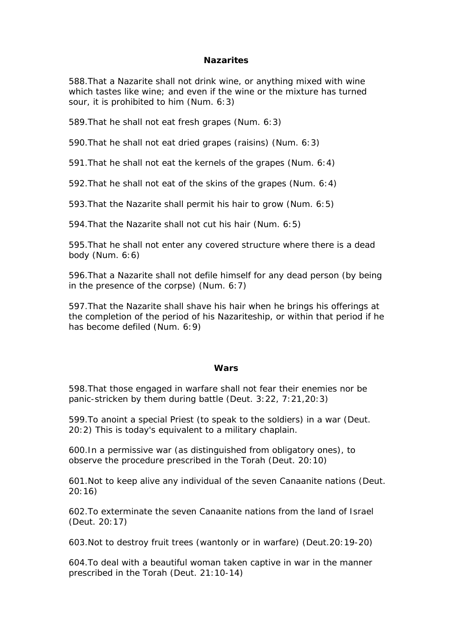## **Nazarites**

588.That a Nazarite shall not drink wine, or anything mixed with wine which tastes like wine; and even if the wine or the mixture has turned sour, it is prohibited to him (Num. 6:3)

589.That he shall not eat fresh grapes (Num. 6:3)

590.That he shall not eat dried grapes (raisins) (Num. 6:3)

591.That he shall not eat the kernels of the grapes (Num. 6:4)

592.That he shall not eat of the skins of the grapes (Num. 6:4)

593.That the Nazarite shall permit his hair to grow (Num. 6:5)

594.That the Nazarite shall not cut his hair (Num. 6:5)

595.That he shall not enter any covered structure where there is a dead body (Num. 6:6)

596.That a Nazarite shall not defile himself for any dead person (by being in the presence of the corpse) (Num. 6:7)

597.That the Nazarite shall shave his hair when he brings his offerings at the completion of the period of his Nazariteship, or within that period if he has become defiled (Num. 6:9)

#### **Wars**

598.That those engaged in warfare shall not fear their enemies nor be panic-stricken by them during battle (Deut. 3:22, 7:21,20:3)

599.To anoint a special Priest (to speak to the soldiers) in a war (Deut. 20:2) This is today's equivalent to a military chaplain.

600.In a permissive war (as distinguished from obligatory ones), to observe the procedure prescribed in the Torah (Deut. 20:10)

601.Not to keep alive any individual of the seven Canaanite nations (Deut. 20:16)

602.To exterminate the seven Canaanite nations from the land of Israel (Deut. 20:17)

603.Not to destroy fruit trees (wantonly or in warfare) (Deut.20:19-20)

604.To deal with a beautiful woman taken captive in war in the manner prescribed in the Torah (Deut. 21:10-14)